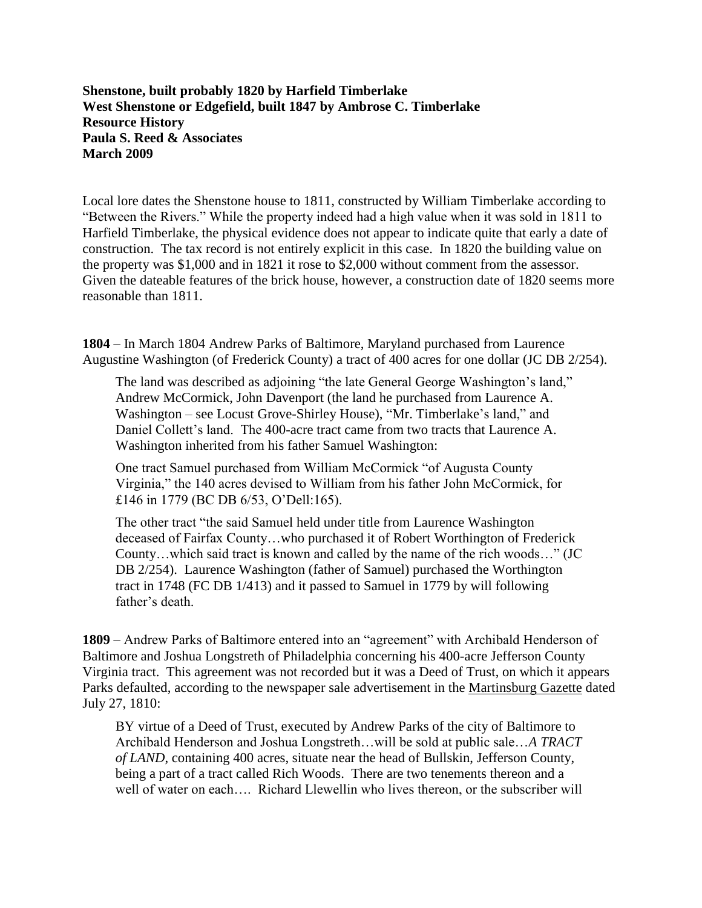**Shenstone, built probably 1820 by Harfield Timberlake West Shenstone or Edgefield, built 1847 by Ambrose C. Timberlake Resource History Paula S. Reed & Associates March 2009**

Local lore dates the Shenstone house to 1811, constructed by William Timberlake according to "Between the Rivers." While the property indeed had a high value when it was sold in 1811 to Harfield Timberlake, the physical evidence does not appear to indicate quite that early a date of construction. The tax record is not entirely explicit in this case. In 1820 the building value on the property was \$1,000 and in 1821 it rose to \$2,000 without comment from the assessor. Given the dateable features of the brick house, however, a construction date of 1820 seems more reasonable than 1811.

**1804** – In March 1804 Andrew Parks of Baltimore, Maryland purchased from Laurence Augustine Washington (of Frederick County) a tract of 400 acres for one dollar (JC DB 2/254).

The land was described as adjoining "the late General George Washington's land," Andrew McCormick, John Davenport (the land he purchased from Laurence A. Washington – see Locust Grove-Shirley House), "Mr. Timberlake's land," and Daniel Collett's land. The 400-acre tract came from two tracts that Laurence A. Washington inherited from his father Samuel Washington:

One tract Samuel purchased from William McCormick "of Augusta County Virginia," the 140 acres devised to William from his father John McCormick, for £146 in 1779 (BC DB 6/53, O'Dell:165).

The other tract "the said Samuel held under title from Laurence Washington deceased of Fairfax County…who purchased it of Robert Worthington of Frederick County…which said tract is known and called by the name of the rich woods…" (JC DB 2/254). Laurence Washington (father of Samuel) purchased the Worthington tract in 1748 (FC DB 1/413) and it passed to Samuel in 1779 by will following father's death

**1809** – Andrew Parks of Baltimore entered into an "agreement" with Archibald Henderson of Baltimore and Joshua Longstreth of Philadelphia concerning his 400-acre Jefferson County Virginia tract. This agreement was not recorded but it was a Deed of Trust, on which it appears Parks defaulted, according to the newspaper sale advertisement in the Martinsburg Gazette dated July 27, 1810:

BY virtue of a Deed of Trust, executed by Andrew Parks of the city of Baltimore to Archibald Henderson and Joshua Longstreth…will be sold at public sale…*A TRACT of LAND*, containing 400 acres, situate near the head of Bullskin, Jefferson County, being a part of a tract called Rich Woods. There are two tenements thereon and a well of water on each.... Richard Llewellin who lives thereon, or the subscriber will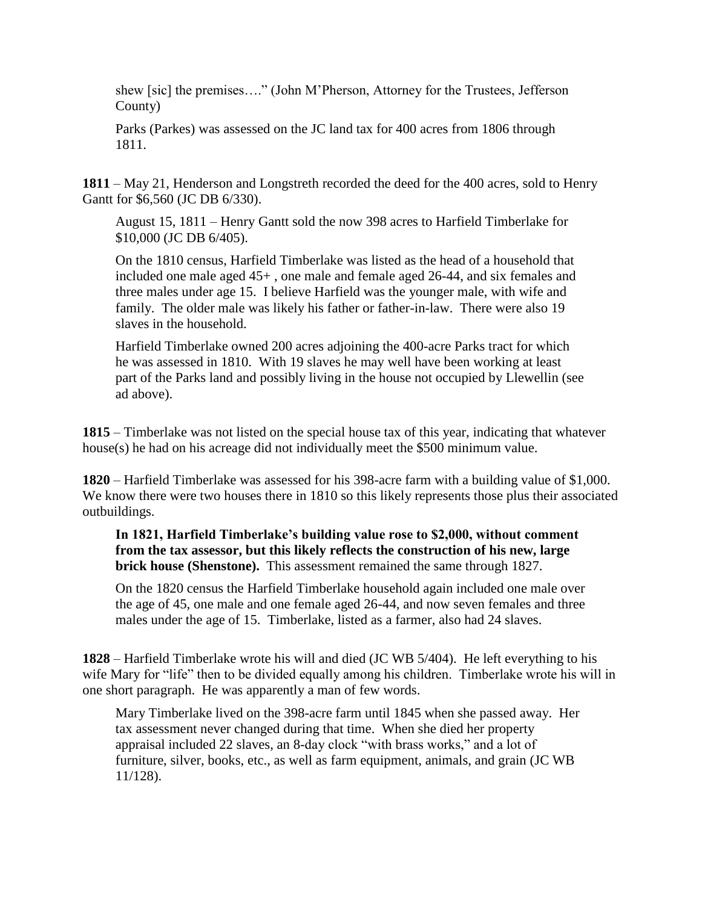shew [sic] the premises…." (John M'Pherson, Attorney for the Trustees, Jefferson County)

Parks (Parkes) was assessed on the JC land tax for 400 acres from 1806 through 1811.

**1811** – May 21, Henderson and Longstreth recorded the deed for the 400 acres, sold to Henry Gantt for \$6,560 (JC DB 6/330).

August 15, 1811 – Henry Gantt sold the now 398 acres to Harfield Timberlake for \$10,000 (JC DB 6/405).

On the 1810 census, Harfield Timberlake was listed as the head of a household that included one male aged 45+ , one male and female aged 26-44, and six females and three males under age 15. I believe Harfield was the younger male, with wife and family. The older male was likely his father or father-in-law. There were also 19 slaves in the household.

Harfield Timberlake owned 200 acres adjoining the 400-acre Parks tract for which he was assessed in 1810. With 19 slaves he may well have been working at least part of the Parks land and possibly living in the house not occupied by Llewellin (see ad above).

**1815** – Timberlake was not listed on the special house tax of this year, indicating that whatever house(s) he had on his acreage did not individually meet the \$500 minimum value.

**1820** – Harfield Timberlake was assessed for his 398-acre farm with a building value of \$1,000. We know there were two houses there in 1810 so this likely represents those plus their associated outbuildings.

## **In 1821, Harfield Timberlake's building value rose to \$2,000, without comment from the tax assessor, but this likely reflects the construction of his new, large brick house (Shenstone).** This assessment remained the same through 1827.

On the 1820 census the Harfield Timberlake household again included one male over the age of 45, one male and one female aged 26-44, and now seven females and three males under the age of 15. Timberlake, listed as a farmer, also had 24 slaves.

**1828** – Harfield Timberlake wrote his will and died (JC WB 5/404). He left everything to his wife Mary for "life" then to be divided equally among his children. Timberlake wrote his will in one short paragraph. He was apparently a man of few words.

Mary Timberlake lived on the 398-acre farm until 1845 when she passed away. Her tax assessment never changed during that time. When she died her property appraisal included 22 slaves, an 8-day clock "with brass works," and a lot of furniture, silver, books, etc., as well as farm equipment, animals, and grain (JC WB 11/128).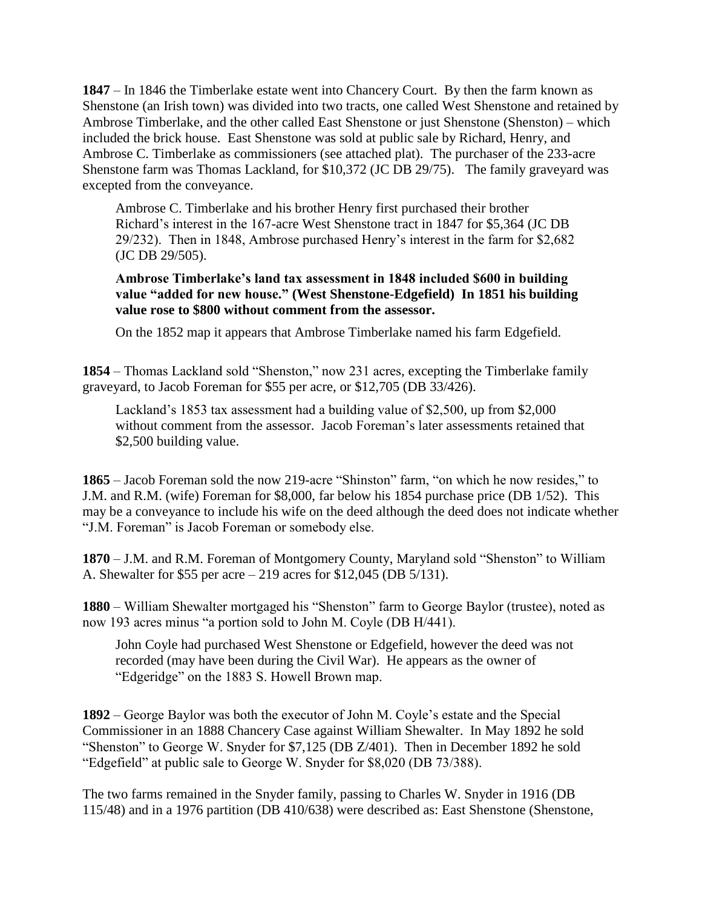**1847** – In 1846 the Timberlake estate went into Chancery Court. By then the farm known as Shenstone (an Irish town) was divided into two tracts, one called West Shenstone and retained by Ambrose Timberlake, and the other called East Shenstone or just Shenstone (Shenston) – which included the brick house. East Shenstone was sold at public sale by Richard, Henry, and Ambrose C. Timberlake as commissioners (see attached plat). The purchaser of the 233-acre Shenstone farm was Thomas Lackland, for \$10,372 (JC DB 29/75). The family graveyard was excepted from the conveyance.

Ambrose C. Timberlake and his brother Henry first purchased their brother Richard's interest in the 167-acre West Shenstone tract in 1847 for \$5,364 (JC DB 29/232). Then in 1848, Ambrose purchased Henry's interest in the farm for \$2,682 (JC DB 29/505).

## **Ambrose Timberlake's land tax assessment in 1848 included \$600 in building value "added for new house." (West Shenstone-Edgefield) In 1851 his building value rose to \$800 without comment from the assessor.**

On the 1852 map it appears that Ambrose Timberlake named his farm Edgefield.

**1854** – Thomas Lackland sold "Shenston," now 231 acres, excepting the Timberlake family graveyard, to Jacob Foreman for \$55 per acre, or \$12,705 (DB 33/426).

Lackland's 1853 tax assessment had a building value of \$2,500, up from \$2,000 without comment from the assessor. Jacob Foreman's later assessments retained that \$2,500 building value.

**1865** – Jacob Foreman sold the now 219-acre "Shinston" farm, "on which he now resides," to J.M. and R.M. (wife) Foreman for \$8,000, far below his 1854 purchase price (DB 1/52). This may be a conveyance to include his wife on the deed although the deed does not indicate whether "J.M. Foreman" is Jacob Foreman or somebody else.

**1870** – J.M. and R.M. Foreman of Montgomery County, Maryland sold "Shenston" to William A. Shewalter for \$55 per acre – 219 acres for \$12,045 (DB 5/131).

**1880** – William Shewalter mortgaged his "Shenston" farm to George Baylor (trustee), noted as now 193 acres minus "a portion sold to John M. Coyle (DB H/441).

John Coyle had purchased West Shenstone or Edgefield, however the deed was not recorded (may have been during the Civil War). He appears as the owner of "Edgeridge" on the 1883 S. Howell Brown map.

**1892** – George Baylor was both the executor of John M. Coyle's estate and the Special Commissioner in an 1888 Chancery Case against William Shewalter. In May 1892 he sold "Shenston" to George W. Snyder for \$7,125 (DB Z/401). Then in December 1892 he sold "Edgefield" at public sale to George W. Snyder for \$8,020 (DB 73/388).

The two farms remained in the Snyder family, passing to Charles W. Snyder in 1916 (DB 115/48) and in a 1976 partition (DB 410/638) were described as: East Shenstone (Shenstone,